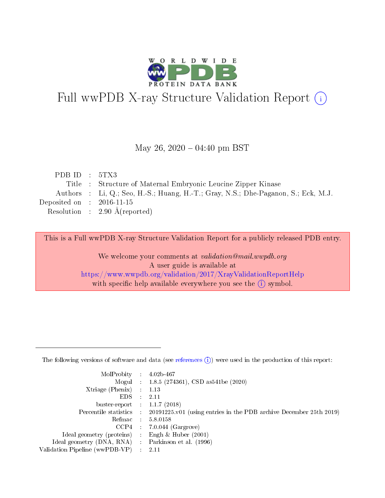

# Full wwPDB X-ray Structure Validation Report (i)

#### May 26,  $2020 - 04:40$  pm BST

| PDB ID : $5TX3$             |                                                                                    |
|-----------------------------|------------------------------------------------------------------------------------|
|                             | Title : Structure of Maternal Embryonic Leucine Zipper Kinase                      |
|                             | Authors : Li, Q.; Seo, H.-S.; Huang, H.-T.; Gray, N.S.; Dhe-Paganon, S.; Eck, M.J. |
| Deposited on : $2016-11-15$ |                                                                                    |
|                             | Resolution : $2.90 \text{ Å}$ (reported)                                           |

This is a Full wwPDB X-ray Structure Validation Report for a publicly released PDB entry.

We welcome your comments at validation@mail.wwpdb.org A user guide is available at <https://www.wwpdb.org/validation/2017/XrayValidationReportHelp> with specific help available everywhere you see the  $(i)$  symbol.

The following versions of software and data (see [references](https://www.wwpdb.org/validation/2017/XrayValidationReportHelp#references)  $(1)$ ) were used in the production of this report:

| MolProbity :                   |               | $4.02b - 467$                                                               |
|--------------------------------|---------------|-----------------------------------------------------------------------------|
|                                |               | Mogul : $1.8.5$ (274361), CSD as 541be (2020)                               |
| $X$ triage (Phenix) :          |               | 1.13                                                                        |
| EDS.                           |               | 2.11                                                                        |
| buster-report : $1.1.7$ (2018) |               |                                                                             |
| Percentile statistics :        |               | $20191225 \text{v}01$ (using entries in the PDB archive December 25th 2019) |
| Refmac :                       |               | 5.8.0158                                                                    |
| $CCP4$ :                       |               | $7.0.044$ (Gargrove)                                                        |
| Ideal geometry (proteins) :    |               | Engh $\&$ Huber (2001)                                                      |
| Ideal geometry (DNA, RNA) :    |               | Parkinson et al. (1996)                                                     |
| Validation Pipeline (wwPDB-VP) | $\mathcal{L}$ | 2.11                                                                        |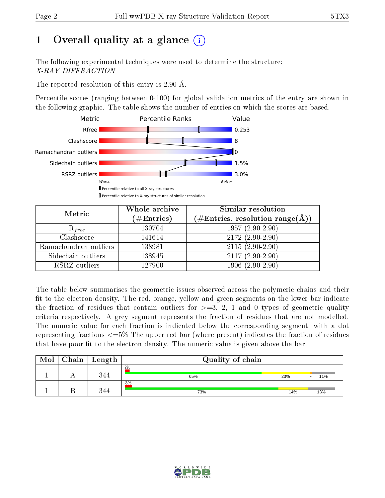# 1 [O](https://www.wwpdb.org/validation/2017/XrayValidationReportHelp#overall_quality)verall quality at a glance  $(i)$

The following experimental techniques were used to determine the structure: X-RAY DIFFRACTION

The reported resolution of this entry is 2.90 Å.

Percentile scores (ranging between 0-100) for global validation metrics of the entry are shown in the following graphic. The table shows the number of entries on which the scores are based.



| Metric                | Whole archive<br>$(\#\text{Entries})$ | Similar resolution<br>$(\#\text{Entries},\,\text{resolution}\,\,\text{range}(\textup{\AA}))$ |  |  |
|-----------------------|---------------------------------------|----------------------------------------------------------------------------------------------|--|--|
| $R_{free}$            | 130704                                | $1957(2.90-2.90)$                                                                            |  |  |
| Clashscore            | 141614                                | $2172(2.90-2.90)$                                                                            |  |  |
| Ramachandran outliers | 138981                                | $2115(2.90-2.90)$                                                                            |  |  |
| Sidechain outliers    | 138945                                | $2117(2.90-2.90)$                                                                            |  |  |
| RSRZ outliers         | 127900                                | $1906(2.90-2.90)$                                                                            |  |  |

The table below summarises the geometric issues observed across the polymeric chains and their fit to the electron density. The red, orange, yellow and green segments on the lower bar indicate the fraction of residues that contain outliers for  $>=3, 2, 1$  and 0 types of geometric quality criteria respectively. A grey segment represents the fraction of residues that are not modelled. The numeric value for each fraction is indicated below the corresponding segment, with a dot representing fractions  $\epsilon=5\%$  The upper red bar (where present) indicates the fraction of residues that have poor fit to the electron density. The numeric value is given above the bar.

| Mol | Chain | ' Length | Quality of chain |     |     |
|-----|-------|----------|------------------|-----|-----|
|     |       | 344      | $2\%$<br>65%     | 23% | 11% |
|     |       | 344      | 3%<br>73%        | 14% | 13% |

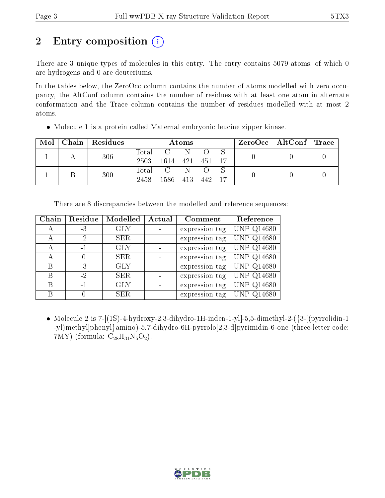# 2 Entry composition  $\left( \cdot \right)$

There are 3 unique types of molecules in this entry. The entry contains 5079 atoms, of which 0 are hydrogens and 0 are deuteriums.

In the tables below, the ZeroOcc column contains the number of atoms modelled with zero occupancy, the AltConf column contains the number of residues with at least one atom in alternate conformation and the Trace column contains the number of residues modelled with at most 2 atoms.

| $\text{Mol}$ |  | Chain   Residues | Atoms           |           |  |  | $ZeroOcc \mid AltConf \mid Trace$ |  |  |
|--------------|--|------------------|-----------------|-----------|--|--|-----------------------------------|--|--|
|              |  | 306              | Total           | C N       |  |  |                                   |  |  |
|              |  | 2503             | 1614 421 451 17 |           |  |  |                                   |  |  |
|              |  | 300              |                 | Total C N |  |  |                                   |  |  |
|              |  | 2458             | 1586 413 442 17 |           |  |  |                                   |  |  |

• Molecule 1 is a protein called Maternal embryonic leucine zipper kinase.

| Chain | Residue  | Modelled   | Actual | Comment        | Reference         |
|-------|----------|------------|--------|----------------|-------------------|
| А     | -3       | <b>GLY</b> |        | expression tag | <b>UNP Q14680</b> |
| А     | $-2$     | <b>SER</b> |        | expression tag | <b>UNP Q14680</b> |
| А     | $-1$     | <b>GLY</b> |        | expression tag | <b>UNP Q14680</b> |
| А     | $\theta$ | <b>SER</b> |        | expression tag | <b>UNP Q14680</b> |
| В     | -3       | <b>GLY</b> |        | expression tag | <b>UNP Q14680</b> |
| В     | $-2$     | <b>SER</b> |        | expression tag | <b>UNP Q14680</b> |
| В     | $-1$     | <b>GLY</b> |        | expression tag | <b>UNP Q14680</b> |
| В     | 0        | <b>SER</b> |        | expression tag | <b>UNP Q14680</b> |

There are 8 discrepancies between the modelled and reference sequences:

• Molecule 2 is  $7-[1S]-4-hydroxy-2,3-dihydro-H-inden-1-y]$ . 5,5-dimethyl-2- $(3-[1S]-4-hydroxy-2,3-dihydro-H-inden-1-y]$ -yl)methyl]phenyl}amino)-5,7-dihydro-6H-pyrrolo[2,3-d]pyrimidin-6-one (three-letter code: 7MY) (formula:  $C_{28}H_{31}N_5O_2$ ).

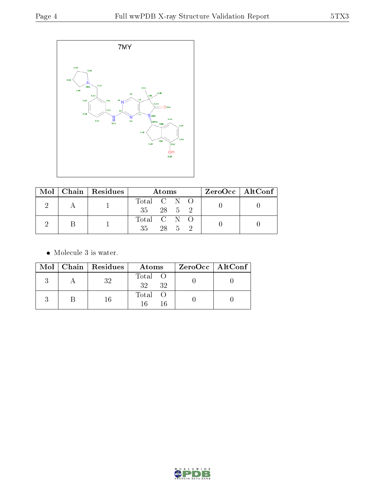

|  | Mol   Chain   Residues | Atoms       |  |        |  | $ZeroOcc \mid AltConf \mid$ |
|--|------------------------|-------------|--|--------|--|-----------------------------|
|  |                        | Total C N O |  |        |  |                             |
|  |                        | 35 28 5 2   |  |        |  |                             |
|  |                        | Total C N O |  |        |  |                             |
|  |                        | 35          |  | 28 5 2 |  |                             |

• Molecule 3 is water.

|  | Mol   Chain   Residues | Atoms                 | ZeroOcc   AltConf |
|--|------------------------|-----------------------|-------------------|
|  | 32                     | Total O<br>- 32<br>32 |                   |
|  | 16                     | Total O<br>16<br>16   |                   |

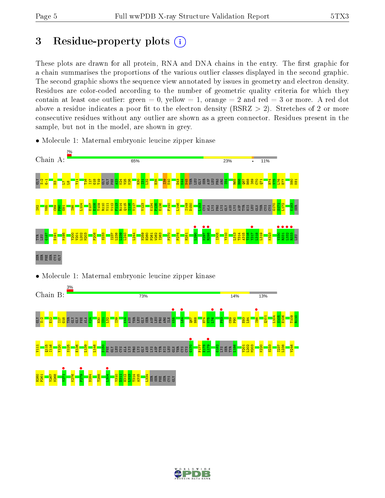# 3 Residue-property plots  $(i)$

These plots are drawn for all protein, RNA and DNA chains in the entry. The first graphic for a chain summarises the proportions of the various outlier classes displayed in the second graphic. The second graphic shows the sequence view annotated by issues in geometry and electron density. Residues are color-coded according to the number of geometric quality criteria for which they contain at least one outlier: green  $= 0$ , yellow  $= 1$ , orange  $= 2$  and red  $= 3$  or more. A red dot above a residue indicates a poor fit to the electron density (RSRZ  $> 2$ ). Stretches of 2 or more consecutive residues without any outlier are shown as a green connector. Residues present in the sample, but not in the model, are shown in grey.

- Chain A: 65% 23% 11% <mark>S</mark>ébas a<mark>d a ca</mark>g Y11 T16 I17  $\frac{8}{13}$ T19 GLY GLY PHE  $\frac{23}{2}$ K24  $\frac{25}{2}$ K26 H30  $\frac{51}{121}$  $\frac{32}{2}$  $\frac{5}{25}$ I39  $\frac{8}{10}$  $\frac{2}{3}$  $\overline{AB}$ PRO ARG I54 R65  $\frac{1}{2}$  $\overline{\text{g}}$ H68 I69  $\frac{1}{2}$  $\overline{\bf{E}}$  $\frac{4}{11}$  $\frac{1}{2}$ L76  $\overline{\mathbf{z}}$ N80 K81 L8 L104 R114 K134 E107 E108 T109 R110 V111 V112 F113  $\frac{115}{115}$ I116 V117 V123 P135 E136 F140 L146 I149 D150 <mark>ទ</mark>្ទី ខ្ញុំ ខ្ញុំ ខ្ញុំ ខ្ញុំ ខ្ញុំ ខ្ញុំ ខ្ញុំ ខ្ញុំ ខ្ញុំ ខ្ញុំ ខ្ញុំ ខ្ញុំ ខ្ញុំ ខ្ញុំ ខ្ញុំ ខ្ញុំ ខ្ញុំ ខ្ញុ<br>ការប្រកប្បាយ ខ្ញុំ ខ្ញុំ ខ្ញុំ ខ្ញុំ ខ្ញុំ ខ្ញុំ ខ្ញុំ ខ្ញុំ ខ្ញុំ ខ្ញុំ ខ្ញុំ ខ្ញុំ ខ្ញុំ ខ្ញុំ ខ្ញុំ ខ្ញុ G170 S171 L172 K183 I82  $\frac{1}{8}$  $\frac{8}{2}$  $\frac{8}{2}$  $\frac{1}{6}$ I98 CYS  $\mathbb{E}$  $-290$  $\frac{1}{2}$ <br>Pass **R**298 Y317 •  $\frac{1}{2}$ R331 •  $\frac{•}{0.332}$ R333 • G187 D191 M195 Y200 V201 L202 M203 P208 S233 I237 L238  $239$ L240 L244 N259 H260 P261 W262 I263 P270 P278 H281 I305 Y310 L313 T314 A315 T316  $\frac{8}{13}$ L319 K323 TYR LEU LEU  $\mathbb{R} \boxtimes \mathbb{R} \boxtimes \mathbb{S}$
- Molecule 1: Maternal embryonic leucine zipper kinase

• Molecule 1: Maternal embryonic leucine zipper kinase



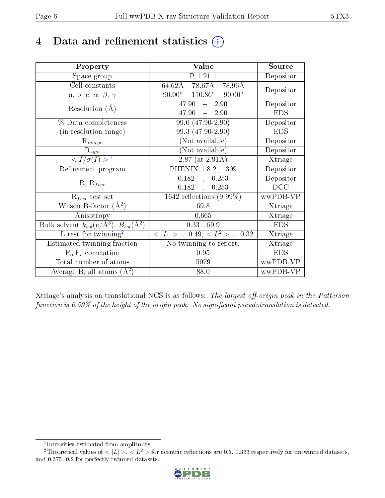# 4 Data and refinement statistics  $(i)$

| Property                                                         | Value                                               | Source     |
|------------------------------------------------------------------|-----------------------------------------------------|------------|
| Space group                                                      | P 1 21 1                                            | Depositor  |
| Cell constants                                                   | $64.62$ Å 78.67Å 78.96Å                             | Depositor  |
| a, b, c, $\alpha$ , $\beta$ , $\gamma$                           | $90.00^{\circ}$ $110.86^{\circ}$ $90.00^{\circ}$    |            |
| Resolution $(A)$                                                 | 47.90<br>2.90<br>$\frac{1}{2}$                      | Depositor  |
|                                                                  | 47.90<br>$-2.90$                                    | <b>EDS</b> |
| % Data completeness                                              | $99.0(47.90-2.90)$                                  | Depositor  |
| (in resolution range)                                            | 99.3 (47.90-2.90)                                   | <b>EDS</b> |
| $R_{merge}$                                                      | (Not available)                                     | Depositor  |
| $\mathrm{R}_{sym}$                                               | (Not available)                                     | Depositor  |
| $\sqrt{I/\sigma(I)} > 1$                                         | $\overline{2.87}$ (at $\overline{2.91\text{\AA}}$ ) | Xtriage    |
| Refinement program                                               | $\overline{\mathrm{PHENIX}}$ 1.8.2_1309             | Depositor  |
|                                                                  | 0.182<br>0.253<br>$\overline{a}$                    | Depositor  |
| $R, R_{free}$                                                    | $0.182$ ,<br>0.253                                  | DCC        |
| $R_{free}$ test set                                              | 1642 reflections $(9.99\%)$                         | wwPDB-VP   |
| Wilson B-factor $(A^2)$                                          | 69.8                                                | Xtriage    |
| Anisotropy                                                       | 0.665                                               | Xtriage    |
| Bulk solvent $k_{sol}(\text{e}/\text{A}^3), B_{sol}(\text{A}^2)$ | 0.33, 69.9                                          | <b>EDS</b> |
| L-test for $\mathrm{twinning}^2$                                 | $< L >$ = 0.49, $< L^2 >$ = 0.32                    | Xtriage    |
| Estimated twinning fraction                                      | No twinning to report.                              | Xtriage    |
| $\overline{F_o}, \overline{F_c}$ correlation                     | 0.95                                                | <b>EDS</b> |
| Total number of atoms                                            | 5079                                                | wwPDB-VP   |
| Average B, all atoms $(A^2)$                                     | 88.0                                                | wwPDB-VP   |

Xtriage's analysis on translational NCS is as follows: The largest off-origin peak in the Patterson function is  $6.59\%$  of the height of the origin peak. No significant pseudotranslation is detected.

<sup>&</sup>lt;sup>2</sup>Theoretical values of  $\langle |L| \rangle$ ,  $\langle L^2 \rangle$  for acentric reflections are 0.5, 0.333 respectively for untwinned datasets, and 0.375, 0.2 for perfectly twinned datasets.



<span id="page-5-1"></span><span id="page-5-0"></span><sup>1</sup> Intensities estimated from amplitudes.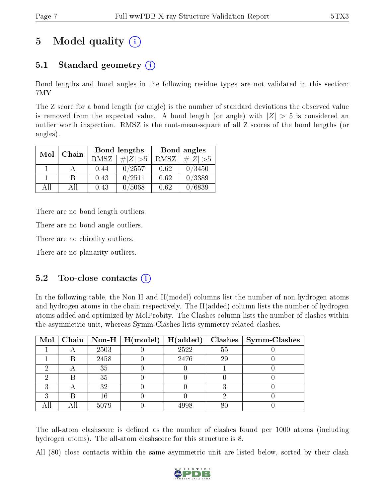# 5 Model quality  $(i)$

## 5.1 Standard geometry (i)

Bond lengths and bond angles in the following residue types are not validated in this section: 7MY

The Z score for a bond length (or angle) is the number of standard deviations the observed value is removed from the expected value. A bond length (or angle) with  $|Z| > 5$  is considered an outlier worth inspection. RMSZ is the root-mean-square of all Z scores of the bond lengths (or angles).

| Mol   |    |      | Bond lengths | Bond angles |             |  |
|-------|----|------|--------------|-------------|-------------|--|
| Chain |    | RMSZ | $\# Z  > 5$  | RMSZ        | $\ Z\  > 5$ |  |
|       |    | 0.44 | 0/2557       | 0.62        | 0/3450      |  |
|       | R  | 0.43 | 0/2511       | 0.62        | 0/3389      |  |
| AΠ    | АH | 0.43 | /5068        | 0.62        | 0/6839      |  |

There are no bond length outliers.

There are no bond angle outliers.

There are no chirality outliers.

There are no planarity outliers.

### $5.2$  Too-close contacts  $(i)$

In the following table, the Non-H and H(model) columns list the number of non-hydrogen atoms and hydrogen atoms in the chain respectively. The H(added) column lists the number of hydrogen atoms added and optimized by MolProbity. The Clashes column lists the number of clashes within the asymmetric unit, whereas Symm-Clashes lists symmetry related clashes.

|   |   |      | Mol   Chain   Non-H   H(model)   H(added) |      |        | $\textbf{Class} \mid \textbf{Symm-Class}$ |
|---|---|------|-------------------------------------------|------|--------|-------------------------------------------|
|   |   | 2503 |                                           | 2522 | 55     |                                           |
|   | В | 2458 |                                           | 2476 | 29     |                                           |
| ച |   | 35   |                                           |      |        |                                           |
|   |   | 35   |                                           |      |        |                                           |
| ົ |   | 32   |                                           |      |        |                                           |
| ച |   | 16   |                                           |      |        |                                           |
|   |   | 5079 |                                           | 4998 | $80\,$ |                                           |

The all-atom clashscore is defined as the number of clashes found per 1000 atoms (including hydrogen atoms). The all-atom clashscore for this structure is 8.

All (80) close contacts within the same asymmetric unit are listed below, sorted by their clash

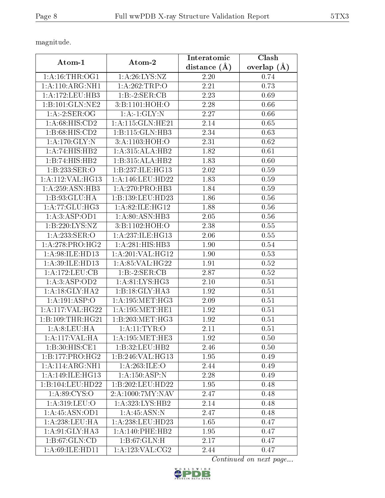magnitude.

| Atom-1              | Atom-2              | Interatomic      | <b>Clash</b>  |
|---------------------|---------------------|------------------|---------------|
|                     |                     | distance $(\AA)$ | overlap $(A)$ |
| 1: A:16:THR:OG1     | 1:A:26:LYS:NZ       | 2.20             | 0.74          |
| 1:A:110:ARG:NH1     | 1:A:262:TRP:O       | 2.21             | 0.73          |
| 1: A: 172: LEU: HB3 | 1:B:2:SER:CB        | 2.23             | 0.69          |
| 1:B:101:GLN:NE2     | 3:B:1101:HOH:O      | 2.28             | 0.66          |
| 1:A:2:SER:OG        | 1:A:1:GLY:N         | 2.27             | 0.66          |
| 1: A:68: HIS: CD2   | 1:A:115:GLN:HE21    | 2.14             | 0.65          |
| 1:B:68:HIS:CD2      | 1:B:115:GLN:HB3     | 2.34             | 0.63          |
| 1: A:170: GLY:N     | 3:A:1103:HOH:O      | 2.31             | 0.62          |
| 1:A:74:HIS:HB2      | 1:A:315:ALA:HB2     | 1.82             | 0.61          |
| 1:B:74:HIS:HB2      | 1:B:315:ALA:HB2     | 1.83             | 0.60          |
| 1:B:233:SER:O       | 1:B:237:ILE:HG13    | 2.02             | 0.59          |
| 1:A:112:VAL:HG13    | 1:A:146:LEU:HD22    | 1.83             | 0.59          |
| 1:A:259:ASN:HB3     | 1:A:270:PRO:HB3     | 1.84             | 0.59          |
| 1:B:93:GLU:HA       | 1:B:139:LEU:HD23    | 1.86             | 0.56          |
| 1:A:77:GLU:HG3      | 1: A:82: ILE: HG12  | 1.88             | 0.56          |
| 1:A:3:ASP:OD1       | 1: A:80: ASN:HB3    | 2.05             | 0.56          |
| 1:B:220:LYS:NZ      | 3:B:1102:HOH:O      | 2.38             | 0.55          |
| 1:A:233:SER:O       | 1:A:237:ILE:HG13    | 2.06             | 0.55          |
| 1: A:278: PRO:HG2   | 1:A:281:HIS:HB3     | 1.90             | 0.54          |
| 1:A:98:ILE:HD13     | 1:A:201:VAL:HG12    | 1.90             | 0.53          |
| 1: A:39: ILE: HD13  | 1: A:85: VAL:HG22   | 1.91             | 0.52          |
| 1: A:172: LEU: CB   | 1:B:2:SER:CB        | 2.87             | 0.52          |
| 1:A:3:ASP:OD2       | 1: A:81: LYS: HG3   | 2.10             | 0.51          |
| 1: A:18: GLY: HA2   | 1: B:18: GLY:HA3    | 1.92             | 0.51          |
| 1:A:191:ASP:O       | 1: A:195:MET:HG3    | 2.09             | 0.51          |
| 1:A:117:VAL:HG22    | 1: A: 195: MET: HE1 | 1.92             | 0.51          |
| 1:B:109:THR:HG21    | 1:B:203:MET:HG3     | 1.92             | 0.51          |
| 1: A:8: LEU: HA     | 1: A: 11: TYR: O    | 2.11             | 0.51          |
| 1:A:117:VAL:HA      | 1: A: 195: MET: HE3 | 1.92             | 0.50          |
| 1:B:30:HIS:CE1      | 1:B:32:LEU:HB2      | 2.46             | 0.50          |
| 1:B:177:PRO:HG2     | 1:B:246:VAL:HG13    | 1.95             | 0.49          |
| 1:A:114:ARG:NH1     | 1:A:263:ILE:O       | 2.44             | 0.49          |
| 1: A:149: ILE: HG13 | 1: A:150: ASP:N     | 2.28             | 0.49          |
| 1:B:104:LEU:HD22    | 1:B:202:LEU:HD22    | 1.95             | 0.48          |
| 1: A:89: CYS:O      | 2:A:1000:7MY:NAV    | 2.47             | 0.48          |
| 1:A:319:LEU:O       | 1:A:323:LYS:HB2     | 2.14             | 0.48          |
| 1: A: 45: ASN: OD1  | 1: A:45: ASN:N      | 2.47             | 0.48          |
| 1: A:238:LEU:HA     | 1:A:238:LEU:HD23    | 1.65             | 0.47          |
| 1:A:91:GLY:HA3      | 1:A:140:PHE:HB2     | 1.95             | 0.47          |
| 1:B:67:GLN:CD       | 1: B:67: GLN: H     | 2.17             | 0.47          |
| 1:A:69:ILE:HD11     | 1: A:123: VAL: CG2  | 2.44             | 0.47          |

Continued on next page...

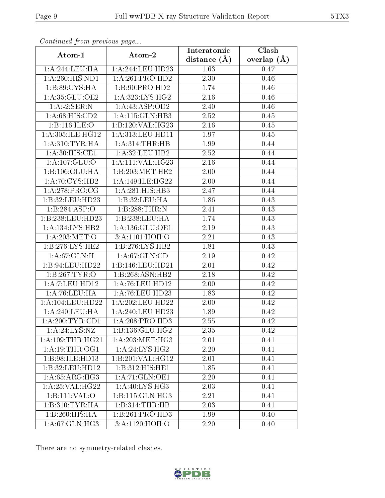| Communaca from previous page |                              | Interatomic    | Clash         |
|------------------------------|------------------------------|----------------|---------------|
| Atom-1                       | Atom-2                       | distance $(A)$ | overlap $(A)$ |
| 1:A:244:LEU:HA               | 1:A:244:LEU:HD23             | 1.63           | 0.47          |
| 1:A:260:HIS:ND1              | 1:A:261:PRO:HD2              | 2.30           | 0.46          |
| 1:B:89:CYS:HA                | 1:B:90:PRO:HD2               | 1.74           | 0.46          |
| 1:A:35:GLU:OE2               | 1: A:323: LYS: HG2           | 2.16           | 0.46          |
| 1:A:2:SER:N                  | 1: A: 43: ASP: OD2           | 2.40           | 0.46          |
| 1: A:68: HIS: CD2            | 1:A:115:GLN:HB3              | 2.52           | 0.45          |
| 1:B:116:ILE:O                | 1:B:120:VAL:HG23             | $2.16\,$       | 0.45          |
| 1: A:305: ILE: HG12          | 1:A:313:LEU:HD11             | 1.97           | 0.45          |
| 1: A:310: TYR: HA            | 1: A:314:THR:HB              | 1.99           | 0.44          |
| 1: A:30:HIS:CE1              | 1: A:32:LEU:HB2              | 2.52           | 0.44          |
| 1: A: 107: GLU:O             | 1:A:111:VAL:HG23             | 2.16           | 0.44          |
| 1:B:106:GLU:HA               | 1:B:203:MET:HE2              | 2.00           | 0.44          |
| 1: A:70: CYS:HB2             | 1:A:149:ILE:HG22             | 2.00           | 0.44          |
| 1: A:278: PRO:CG             | 1:A:281:HIS:HB3              | 2.47           | 0.44          |
| 1:B:32:LEU:HD23              | 1:B:32:LEU:HA                | 1.86           | 0.43          |
| 1:B:284:ASP:O                | 1:B:288:THR:N                | 2.41           | 0.43          |
| 1:B:238:LEU:HD23             | 1:B:238:LEU:HA               | 1.74           | 0.43          |
| 1:A:134:LYS:HB2              | 1: A: 136: GLU: OE1          | 2.19           | 0.43          |
| 1: A:203:MET:O               | 3:A:1101:HOH:O               | 2.21           | 0.43          |
| 1: B: 276: LYS: HE2          | 1: B: 276: LYS: HB2          | 1.81           | 0.43          |
| 1: A:67: GLN:H               | 1: A:67: GLN:CD              | 2.19           | 0.42          |
| 1:B:94:LEU:HD22              | 1:B:146:LEU:HD21             | $2.01\,$       | 0.42          |
| 1:B:267:TYR:O                | 1:B:268:ASN:HB2              | 2.18           | 0.42          |
| 1:A:7:LEU:HD12               | 1: A:76: LEU: HD12           | 2.00           | 0.42          |
| 1:A:76:LEU:HA                | 1: A:76: LEU: HD23           | 1.83           | 0.42          |
| 1:A:104:LEU:HD22             | 1:A:202:LEU:HD22             | 2.00           | 0.42          |
| 1: A:240:LEU:HA              | 1:A:240:LEU:HD23             | 1.89           | 0.42          |
| 1: A:200:TYR:CD1             | $1:A:208:PRO:\overline{HD3}$ | 2.55           | 0.42          |
| 1: A:24: LYS:NZ              | $1:B:136:GL\overline{U:HG2}$ | 2.35           | 0.42          |
| 1: A:109:THR:HG21            | 1: A:203:MET:HG3             | 2.01           | 0.41          |
| 1: A:19:THR:OG1              | 1: A:24:LYS:HG2              | 2.20           | 0.41          |
| 1:B:98:ILE:HD13              | 1:B:201:VAL:HG12             | 2.01           | 0.41          |
| 1:B:32:LEU:HD12              | 1:B:312:HIS:HE1              | 1.85           | 0.41          |
| 1: A:65: ARG: HG3            | 1:A:71:GLN:OE1               | 2.20           | 0.41          |
| 1: A:25: VAL:HG22            | 1: A:40: LYS:HG3             | 2.03           | 0.41          |
| 1:B:111:VAL:O                | 1:B:115:GLN:HG3              | 2.21           | 0.41          |
| 1:B:310:TYR:HA               | 1:B:314:THR:HB               | 2.03           | 0.41          |
| 1:B:260:HIS:HA               | 1:B:261:PRO:HD3              | 1.99           | 0.40          |
| 1:A:67:GLN:HG3               | 3:A:1120:HOH:O               | 2.20           | 0.40          |

Continued from previous page.

There are no symmetry-related clashes.

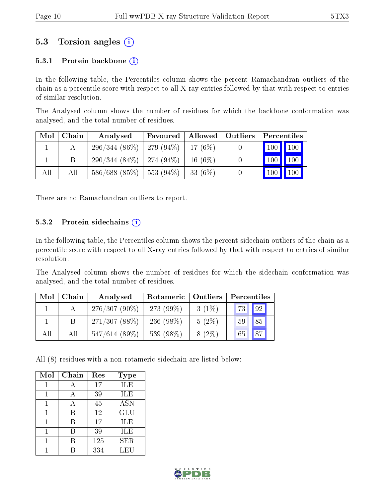### 5.3 Torsion angles  $(i)$

#### 5.3.1 Protein backbone  $(i)$

In the following table, the Percentiles column shows the percent Ramachandran outliers of the chain as a percentile score with respect to all X-ray entries followed by that with respect to entries of similar resolution.

The Analysed column shows the number of residues for which the backbone conformation was analysed, and the total number of residues.

| Mol | Chain | Analysed                     | Favoured               | Allowed   | Outliers |            | Percentiles |
|-----|-------|------------------------------|------------------------|-----------|----------|------------|-------------|
|     |       | $296/344(86\%)$   279 (94\%) |                        | $17(6\%)$ |          | 100 100    |             |
|     | В     | $290/344(84\%)$   274 (94\%) |                        | $16(6\%)$ | U        | '100       | 100         |
| All | Аll   | 586/688(85%)                 | $\frac{1}{553}$ (94\%) | 33 (6\%)  |          | $100 \mid$ | 100         |

There are no Ramachandran outliers to report.

#### 5.3.2 Protein sidechains  $(i)$

In the following table, the Percentiles column shows the percent sidechain outliers of the chain as a percentile score with respect to all X-ray entries followed by that with respect to entries of similar resolution.

The Analysed column shows the number of residues for which the sidechain conformation was analysed, and the total number of residues.

| Mol | Chain | Analysed        | Rotameric   Outliers |          | Percentiles           |
|-----|-------|-----------------|----------------------|----------|-----------------------|
|     |       | $276/307(90\%)$ | $273(99\%)$          | $3(1\%)$ | 92<br>73              |
|     |       | 271/307(88%)    | 266 $(98\%)$         | $5(2\%)$ | 85<br>59              |
| All | All   | $547/614(89\%)$ | 539 (98%)            | $8(2\%)$ | $\overline{87}$<br>65 |

All (8) residues with a non-rotameric sidechain are listed below:

| Mol | Chain | Res | <b>Type</b>      |
|-----|-------|-----|------------------|
|     |       | 17  | ILE              |
| 1   | А     | 39  | ILE              |
| 1   | А     | 45  | $\overline{ASN}$ |
| 1   | B     | 12  | GLU              |
|     | В     | 17  | ILE              |
|     | В     | 39  | ILE              |
|     | В     | 125 | <b>SER</b>       |
|     |       | 334 | LEU              |

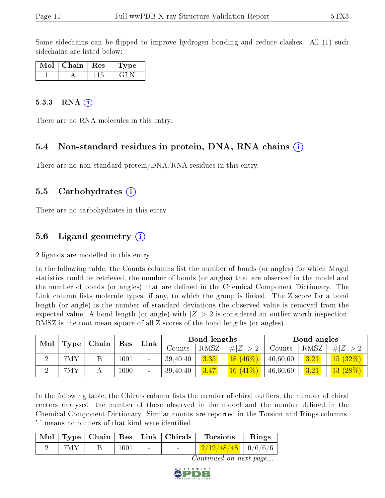Some sidechains can be flipped to improve hydrogen bonding and reduce clashes. All (1) such sidechains are listed below:

| Mol | Chain | $\pm$ Res $^+$ | Type |
|-----|-------|----------------|------|
|     |       | 115            |      |

#### 5.3.3 RNA $(i)$

There are no RNA molecules in this entry.

#### 5.4 Non-standard residues in protein, DNA, RNA chains (i)

There are no non-standard protein/DNA/RNA residues in this entry.

#### 5.5 Carbohydrates (i)

There are no carbohydrates in this entry.

### 5.6 Ligand geometry  $(i)$

2 ligands are modelled in this entry.

In the following table, the Counts columns list the number of bonds (or angles) for which Mogul statistics could be retrieved, the number of bonds (or angles) that are observed in the model and the number of bonds (or angles) that are defined in the Chemical Component Dictionary. The Link column lists molecule types, if any, to which the group is linked. The Z score for a bond length (or angle) is the number of standard deviations the observed value is removed from the expected value. A bond length (or angle) with  $|Z| > 2$  is considered an outlier worth inspection. RMSZ is the root-mean-square of all Z scores of the bond lengths (or angles).

| Mol | Type | Chain<br>Res |      |                          | Link       |      | Bond lengths |          |      | Bond angles |  |
|-----|------|--------------|------|--------------------------|------------|------|--------------|----------|------|-------------|--|
|     |      |              |      |                          | Counts     | RMSZ | H Z          | Counts   | RMSZ | # Z         |  |
| ച   | 7MY  |              | 1001 | $\sim$                   | 39,40,40   | 3.35 | $18(46\%)$   | 46,60,60 | 3.21 | 15(32%)     |  |
| ച   | 7MY  |              | 1000 | $\overline{\phantom{a}}$ | 39, 40, 40 | 3.47 | $16(41\%)$   | 46,60,60 | 3.21 | $13(28\%)$  |  |

In the following table, the Chirals column lists the number of chiral outliers, the number of chiral centers analysed, the number of these observed in the model and the number defined in the Chemical Component Dictionary. Similar counts are reported in the Torsion and Rings columns. '-' means no outliers of that kind were identified.

|       |         | Mol   Type   Chain   Res   Link   Chirals | $\blacksquare$ Torsions           | Rings |
|-------|---------|-------------------------------------------|-----------------------------------|-------|
| - 7MY | $+1001$ |                                           | $\frac{2}{12/12/48/48}$   0/6/6/6 |       |

Continued on next page...

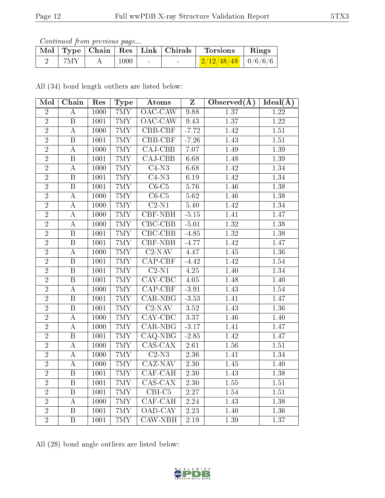Continued from previous page...

|     |      | Mol   Type   Chain   Res   Link   Chirals | <b>Torsions</b>                        | Rings |
|-----|------|-------------------------------------------|----------------------------------------|-------|
| 7MY | 1000 | $\sim$                                    | $\frac{2}{12}/\frac{48}{48}$   0/6/6/6 |       |

All (34) bond length outliers are listed below:

| Mol            | Chain                   | Res               | <b>Type</b>    | Atoms                       | $\mathbf{Z}$      | Observed $(\overline{A})$ | $Ideal(\AA)$      |
|----------------|-------------------------|-------------------|----------------|-----------------------------|-------------------|---------------------------|-------------------|
| $\overline{2}$ | $\bf{A}$                | 1000              | 7MY            | $\overline{\text{OAC-CAW}}$ | 9.88              | 1.37                      | $\overline{1.22}$ |
| $\overline{2}$ | $\overline{B}$          | 1001              | $7{\rm MY}$    | $OAC-CAW$                   | 9.43              | 1.37                      | $\overline{1.22}$ |
| $\overline{2}$ | $\boldsymbol{A}$        | 1000              | $7{\rm MY}$    | CBB-CBF                     | $-7.72$           | 1.42                      | $1.51\,$          |
| $\overline{2}$ | $\overline{B}$          | 1001              | 7MY            | $\overline{\text{CBB-CBF}}$ | $-7.26$           | 1.43                      | 1.51              |
| $\overline{2}$ | $\boldsymbol{A}$        | 1000              | $7{\rm MY}$    | CAJ-CBB                     | 7.07              | 1.49                      | 1.39              |
| $\overline{2}$ | $\boldsymbol{B}$        | 1001              | $7{\rm MY}$    | $\overline{CAJ-CBB}$        | 6.68              | 1.48                      | $\overline{1.39}$ |
| $\overline{2}$ | $\boldsymbol{A}$        | 1000              | $7{\rm MY}$    | $C4-N3$                     | 6.68              | 1.42                      | 1.34              |
| $\overline{2}$ | $\overline{\mathrm{B}}$ | 1001              | $7{\rm MY}$    | $C4-N3$                     | 6.19              | 1.42                      | 1.34              |
| $\overline{2}$ | $\, {\bf B}$            | 1001              | 7MY            | $C6-C5$                     | 5.76              | 1.46                      | 1.38              |
| $\overline{2}$ | $\boldsymbol{A}$        | 1000              | $7{\rm MY}$    | $C6-C5$                     | 5.62              | 1.46                      | 1.38              |
| $\overline{2}$ | A                       | 1000              | 7MY            | $C2-N1$                     | 5.40              | 1.42                      | 1.34              |
| $\overline{2}$ | $\boldsymbol{A}$        | 1000              | $7{\rm MY}$    | <b>CBF-NBH</b>              | $-5.15$           | 1.41                      | 1.47              |
| $\overline{2}$ | $\boldsymbol{A}$        | 1000              | 7MY            | $\overline{\text{CBC-CBB}}$ | $-5.01$           | 1.32                      | 1.38              |
| $\overline{2}$ | $\mathbf B$             | $1001\,$          | $7{\rm MY}$    | $CBC-CBB$                   | $-4.85$           | 1.32                      | 1.38              |
| $\overline{2}$ | $\, {\bf B}$            | 1001              | $7{\rm MY}$    | <b>CBF-NBH</b>              | $-4.77$           | 1.42                      | 1.47              |
| $\overline{2}$ | $\overline{A}$          | 1000              | 7MY            | $\overline{\text{C2-NAV}}$  | 4.47              | 1.45                      | 1.36              |
| $\overline{2}$ | $\, {\bf B}$            | $1001\,$          | $7{\rm MY}$    | $CAP-CBF$                   | $-4.42$           | 1.42                      | 1.54              |
| $\overline{2}$ | $\overline{\mathrm{B}}$ | 1001              | 7MY            | $C2-N1$                     | 4.25              | 1.40                      | 1.34              |
| $\overline{2}$ | $\mathbf B$             | $1001\,$          | $7{\rm MY}$    | $\overline{\text{CAY-CBC}}$ | 4.05              | 1.48                      | 1.40              |
| $\overline{2}$ | $\boldsymbol{A}$        | $\overline{1000}$ | 7MY            | $\overline{CAP-CBF}$        | $-3.91$           | 1.43                      | 1.54              |
| $\overline{2}$ | $\, {\bf B}$            | 1001              | 7MY            | $\overline{\text{CAR-NBG}}$ | $-3.53$           | 1.41                      | 1.47              |
| $\overline{2}$ | $\, {\bf B}$            | 1001              | $7\mathrm{MY}$ | $C2-NAV$                    | 3.52              | 1.43                      | $1.36\,$          |
| $\overline{2}$ | A                       | 1000              | $7{\rm MY}$    | CAY-CBC                     | 3.37              | 1.46                      | 1.40              |
| $\overline{2}$ | $\boldsymbol{A}$        | 1000              | $7{\rm MY}$    | $\overline{\text{CAR-NBG}}$ | $-3.17$           | 1.41                      | 1.47              |
| $\overline{2}$ | $\overline{\mathbf{B}}$ | 1001              | $7{\rm MY}$    | $CAO-NBG$                   | $-2.85$           | 1.42                      | 1.47              |
| $\overline{2}$ | $\bf{A}$                | 1000              | $7{\rm MY}$    | $\overline{\text{CAS-CAX}}$ | 2.61              | $1.56\,$                  | 1.51              |
| $\overline{2}$ | $\boldsymbol{A}$        | 1000              | $7{\rm MY}$    | $\overline{C2-N3}$          | 2.36              | 1.41                      | 1.34              |
| $\overline{2}$ | $\overline{A}$          | 1000              | 7MY            | $\overline{\text{CAZ-NAV}}$ | $\overline{2.30}$ | 1.45                      | 1.40              |
| $\overline{2}$ | $\, {\bf B}$            | 1001              | $7{\rm MY}$    | $\overline{\text{CAF-CAH}}$ | 2.30              | 1.43                      | 1.38              |
| $\overline{2}$ | $\overline{\mathrm{B}}$ | 1001              | $7{\rm MY}$    | $CAS-CAX$                   | 2.30              | $1.55\,$                  | $1.51\,$          |
| $\overline{2}$ | $\, {\bf B}$            | 1001              | $7{\rm MY}$    | $\overline{\text{CBI-C5}}$  | 2.27              | 1.54                      | $1.51\,$          |
| $\overline{2}$ | $\boldsymbol{A}$        | 1000              | $7{\rm MY}$    | $\overline{\text{CAF-CAH}}$ | 2.24              | 1.43                      | 1.38              |
| $\overline{2}$ | $\, {\bf B}$            | 1001              | 7MY            | OAD-CAY                     | 2.23              | 1.40                      | 1.36              |
| $\overline{2}$ | $\, {\bf B}$            | 1001              | $7{\rm MY}$    | $\overline{\text{CAW-NBH}}$ | 2.19              | 1.39                      | 1.37              |

All (28) bond angle outliers are listed below:

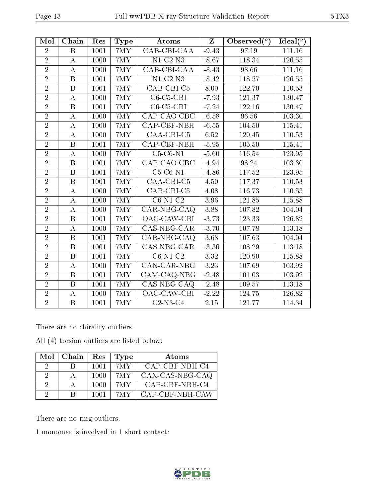| Mol            | Chain                   | Res  | Type        | Atoms                           | $\mathbf{Z}$ | Observed $(°)$ | Ideal $(°)$ |
|----------------|-------------------------|------|-------------|---------------------------------|--------------|----------------|-------------|
| $\overline{2}$ | B                       | 1001 | 7MY         | CAB-CBI-CAA                     | $-9.43$      | 97.19          | 111.16      |
| $\overline{2}$ | $\bf{A}$                | 1000 | 7MY         | $N1$ -C2- $N3$                  | $-8.67$      | 118.34         | 126.55      |
| $\overline{2}$ | $\boldsymbol{A}$        | 1000 | $7{\rm MY}$ | CAB-CBI-CAA                     | $-8.43$      | 98.66          | 111.16      |
| $\overline{2}$ | $\overline{\mathrm{B}}$ | 1001 | 7MY         | $N1-C2-N3$                      | $-8.42$      | 118.57         | 126.55      |
| $\overline{2}$ | B                       | 1001 | 7MY         | CAB-CBI-C5                      | 8.00         | 122.70         | 110.53      |
| $\overline{2}$ | $\boldsymbol{A}$        | 1000 | 7MY         | $C6-C5-CBI$                     | $-7.93$      | 121.37         | 130.47      |
| $\overline{2}$ | $\boldsymbol{B}$        | 1001 | 7MY         | $C6-C5-CBI$                     | $-7.24$      | 122.16         | 130.47      |
| $\overline{2}$ | $\bf{A}$                | 1000 | $7{\rm MY}$ | CAP-CAO-CBC                     | $-6.58$      | 96.56          | 103.30      |
| $\overline{2}$ | А                       | 1000 | 7MY         | CAP-CBF-NBH                     | $-6.55$      | 104.50         | 115.41      |
| $\overline{2}$ | $\boldsymbol{A}$        | 1000 | 7MY         | CAA-CBI-C5                      | 6.52         | 120.45         | 110.53      |
| $\overline{2}$ | $\overline{\mathrm{B}}$ | 1001 | 7MY         | <b>CAP-CBF-NBH</b>              | $-5.95$      | 105.50         | 115.41      |
| $\overline{2}$ | А                       | 1000 | 7MY         | $C5-C6-N1$                      | $-5.60$      | 116.54         | 123.95      |
| $\overline{2}$ | $\overline{B}$          | 1001 | $7{\rm MY}$ | CAP-CAO-CBC                     | $-4.94$      | 98.24          | 103.30      |
| $\overline{2}$ | $\overline{B}$          | 1001 | $7{\rm MY}$ | $\overline{\text{C5-C6-N1}}$    | $-4.86$      | 117.52         | 123.95      |
| $\overline{2}$ | $\overline{\mathrm{B}}$ | 1001 | 7MY         | $\overline{\text{CAA-CBI C5}}$  | 4.50         | 117.37         | 110.53      |
| $\overline{2}$ | A                       | 1000 | 7MY         | CAB-CBI-C5                      | 4.08         | 116.73         | 110.53      |
| $\overline{2}$ | $\boldsymbol{A}$        | 1000 | 7MY         | $C6-N1-C2$                      | 3.96         | 121.85         | 115.88      |
| $\overline{2}$ | А                       | 1000 | $7{\rm MY}$ | $\overline{\text{CAR-NBG-CAQ}}$ | 3.88         | 107.82         | 104.04      |
| $\overline{2}$ | $\overline{B}$          | 1001 | 7MY         | OAC-CAW-CBI                     | $-3.73$      | 123.33         | 126.82      |
| $\overline{2}$ | $\boldsymbol{A}$        | 1000 | 7MY         | CAS-NBG-CAR                     | $-3.70$      | 107.78         | 113.18      |
| $\overline{2}$ | B                       | 1001 | 7MY         | CAR-NBG-CAQ                     | 3.68         | 107.63         | 104.04      |
| $\overline{2}$ | $\overline{B}$          | 1001 | $7{\rm MY}$ | CAS-NBG-CAR                     | $-3.36$      | 108.29         | 113.18      |
| $\overline{2}$ | B                       | 1001 | 7MY         | $C6-N1-C2$                      | 3.32         | 120.90         | 115.88      |
| $\overline{2}$ | $\overline{A}$          | 1000 | 7MY         | CAN-CAR-NBG                     | 3.23         | 107.69         | 103.92      |
| $\overline{2}$ | B                       | 1001 | 7MY         | $\overline{\text{CAM-CAQ-}NBG}$ | $-2.48$      | 101.03         | 103.92      |
| $\overline{2}$ | $\overline{\mathrm{B}}$ | 1001 | 7MY         | $CAS-NBG-CAQ$                   | $-2.48$      | 109.57         | 113.18      |
| $\overline{2}$ | А                       | 1000 | 7MY         | OAC-CAW-CBI                     | $-2.22$      | 124.75         | 126.82      |
| $\overline{2}$ | $\overline{\mathrm{B}}$ | 1001 | 7MY         | $C2-N3-C4$                      | $2.15\,$     | 121.77         | 114.34      |

There are no chirality outliers.

All (4) torsion outliers are listed below:

|          | $Mol$   Chain | Res  | Type | Atoms           |
|----------|---------------|------|------|-----------------|
| 9        | В             | 1001 | 7MY  | CAP-CBF-NBH-C4  |
| 2        |               | 1000 | 7MY  | CAX-CAS-NBG-CAQ |
| $\cdot$  |               | 1000 | 7MY  | CAP-CBF-NBH-C4  |
| $\Omega$ | R             | 1001 | 7MY  | CAP-CBF-NBH-CAW |

There are no ring outliers.

1 monomer is involved in 1 short contact:

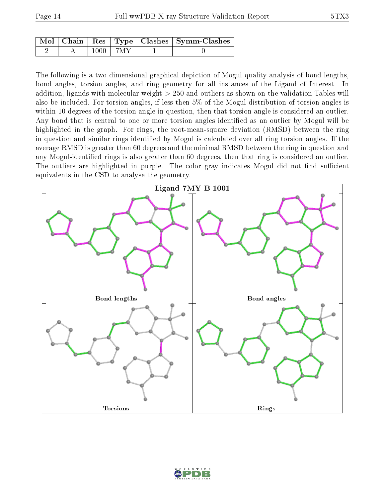|  |      |      | Mol   Chain   Res   Type   Clashes   Symm-Clashes |
|--|------|------|---------------------------------------------------|
|  | 1000 | -7MY |                                                   |

The following is a two-dimensional graphical depiction of Mogul quality analysis of bond lengths, bond angles, torsion angles, and ring geometry for all instances of the Ligand of Interest. In addition, ligands with molecular weight > 250 and outliers as shown on the validation Tables will also be included. For torsion angles, if less then 5% of the Mogul distribution of torsion angles is within 10 degrees of the torsion angle in question, then that torsion angle is considered an outlier. Any bond that is central to one or more torsion angles identified as an outlier by Mogul will be highlighted in the graph. For rings, the root-mean-square deviation (RMSD) between the ring in question and similar rings identified by Mogul is calculated over all ring torsion angles. If the average RMSD is greater than 60 degrees and the minimal RMSD between the ring in question and any Mogul-identified rings is also greater than 60 degrees, then that ring is considered an outlier. The outliers are highlighted in purple. The color gray indicates Mogul did not find sufficient equivalents in the CSD to analyse the geometry.



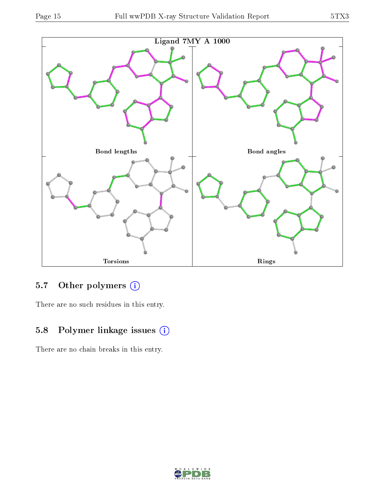

## 5.7 [O](https://www.wwpdb.org/validation/2017/XrayValidationReportHelp#nonstandard_residues_and_ligands)ther polymers (i)

There are no such residues in this entry.

## 5.8 Polymer linkage issues (i)

There are no chain breaks in this entry.

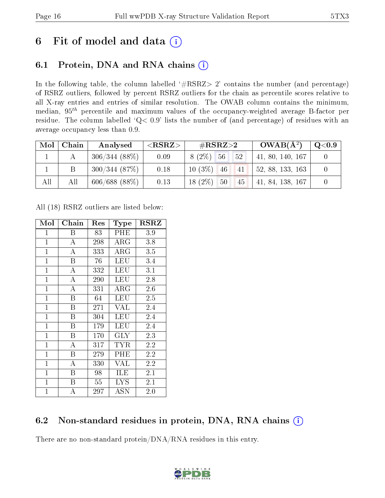# 6 Fit of model and data  $(i)$

## 6.1 Protein, DNA and RNA chains  $(i)$

In the following table, the column labelled  $#RSRZ> 2'$  contains the number (and percentage) of RSRZ outliers, followed by percent RSRZ outliers for the chain as percentile scores relative to all X-ray entries and entries of similar resolution. The OWAB column contains the minimum, median,  $95<sup>th</sup>$  percentile and maximum values of the occupancy-weighted average B-factor per residue. The column labelled ' $Q< 0.9$ ' lists the number of (and percentage) of residues with an average occupancy less than 0.9.

| Mol | Chain | Analysed         | ${ <\hspace{-1.5pt}{\mathrm{RSRZ}} \hspace{-1.5pt}>}$ | $\#\text{RSRZ}\text{>2}$  | $OWAB(A^2)$      | $\bf{Q} {<} 0.9$ |
|-----|-------|------------------|-------------------------------------------------------|---------------------------|------------------|------------------|
|     |       | $306/344(88\%)$  | 0.09                                                  | $8(2\%)$<br>56<br>52      | 41, 80, 140, 167 |                  |
|     |       | 300/344(87%)     | 0.18                                                  | $10(3\%)$<br>46<br>41     | 52, 88, 133, 163 |                  |
| All | All   | $606/688$ (88\%) | 0.13                                                  | $(2\%)$<br>50<br>18<br>45 | 41, 84, 138, 167 |                  |

All (18) RSRZ outliers are listed below:

| Mol            | Chain | Res | Type                 | $_{\rm RSRZ}$ |
|----------------|-------|-----|----------------------|---------------|
| $\mathbf 1$    | В     | 83  | PHE                  | 3.9           |
| $\overline{1}$ | A     | 298 | ARG                  | 3.8           |
| $\mathbf{1}$   | А     | 333 | $\rm{ARG}$           | 3.5           |
| $\mathbf{1}$   | B     | 76  | LEU                  | 3.4           |
| $\mathbf 1$    | A     | 332 | LEU                  | 3.1           |
| $\mathbf 1$    | A     | 290 | <b>LEU</b>           | 2.8           |
| $\mathbf{1}$   | А     | 331 | ARG                  | 2.6           |
| $\mathbf 1$    | B     | 64  | LEU                  | 2.5           |
| $\mathbf 1$    | B     | 271 | <b>VAL</b>           | 2.4           |
| $\mathbf{1}$   | B     | 304 | LEU                  | 2.4           |
| $\mathbf{1}$   | B     | 179 | LEU                  | 2.4           |
| $\mathbf{1}$   | B     | 170 | <b>GLY</b>           | 2.3           |
| $\mathbf{1}$   | А     | 317 | TYR                  | 2.2           |
| $\mathbf{1}$   | B     | 279 | PHE                  | 2.2           |
| $\mathbf{1}$   | А     | 330 | VAL                  | 2.2           |
| $\mathbf 1$    | B     | 98  | ILE                  | 2.1           |
| $\mathbf{1}$   | Β     | 55  | <b>LYS</b>           | 2.1           |
| $\mathbf 1$    | А     | 297 | $\operatorname{ASN}$ | 2.0           |

## 6.2 Non-standard residues in protein, DNA, RNA chains (i)

There are no non-standard protein/DNA/RNA residues in this entry.

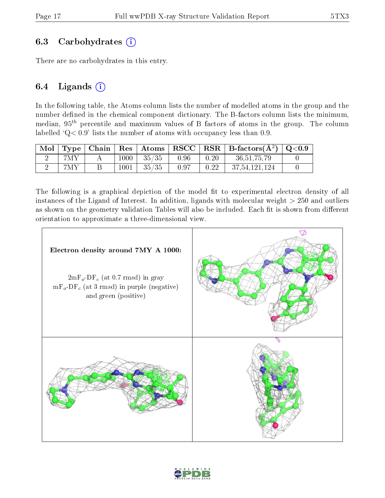### 6.3 Carbohydrates  $(i)$

There are no carbohydrates in this entry.

### 6.4 Ligands  $(i)$

In the following table, the Atoms column lists the number of modelled atoms in the group and the number defined in the chemical component dictionary. The B-factors column lists the minimum, median,  $95<sup>th</sup>$  percentile and maximum values of B factors of atoms in the group. The column labelled  $Q < 0.9$ ' lists the number of atoms with occupancy less than 0.9.

|     |      |                                                                |                    |      | Mol   Type   Chain   Res   Atoms   RSCC   RSR   B-factors $(\AA^2)$   Q<0.9 |  |
|-----|------|----------------------------------------------------------------|--------------------|------|-----------------------------------------------------------------------------|--|
| 7MY | 1000 | $\begin{array}{ c c c c c } \hline 35/35 & \hline \end{array}$ | $\vert 0.96 \vert$ | 0.20 | 36, 51, 75, 79                                                              |  |
| 7MY | 1001 | $+35/35$                                                       | 0.97               | 0.22 | 37,54,121,124                                                               |  |

The following is a graphical depiction of the model fit to experimental electron density of all instances of the Ligand of Interest. In addition, ligands with molecular weight  $> 250$  and outliers as shown on the geometry validation Tables will also be included. Each fit is shown from different orientation to approximate a three-dimensional view.